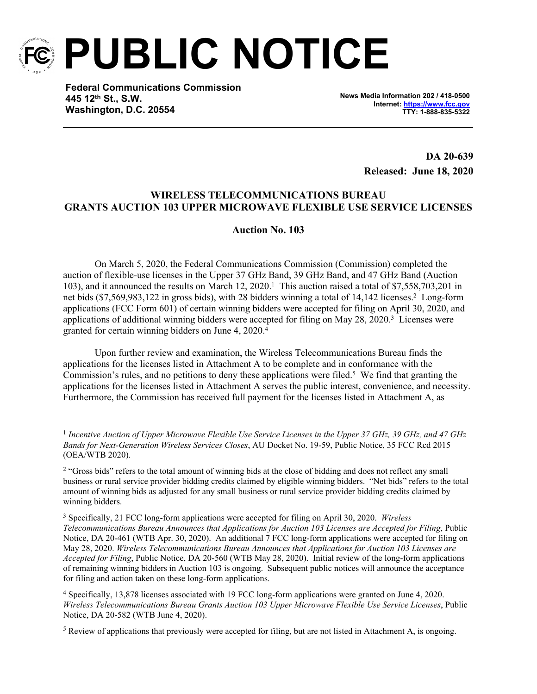

**PUBLIC NOTICE**

**Federal Communications Commission 445 12th St., S.W. Washington, D.C. 20554**

**News Media Information 202 / 418-0500 Internet:<https://www.fcc.gov> TTY: 1-888-835-5322**

> **DA 20-639 Released: June 18, 2020**

## **WIRELESS TELECOMMUNICATIONS BUREAU GRANTS AUCTION 103 UPPER MICROWAVE FLEXIBLE USE SERVICE LICENSES**

## **Auction No. 103**

On March 5, 2020, the Federal Communications Commission (Commission) completed the auction of flexible-use licenses in the Upper 37 GHz Band, 39 GHz Band, and 47 GHz Band (Auction 103), and it announced the results on March 12, 2020.<sup>1</sup> This auction raised a total of \$7,558,703,201 in net bids (\$7,569,983,122 in gross bids), with 28 bidders winning a total of 14,142 licenses.<sup>2</sup> Long-form applications (FCC Form 601) of certain winning bidders were accepted for filing on April 30, 2020, and applications of additional winning bidders were accepted for filing on May 28, 2020.<sup>3</sup> Licenses were granted for certain winning bidders on June 4, 2020.<sup>4</sup>

Upon further review and examination, the Wireless Telecommunications Bureau finds the applications for the licenses listed in Attachment A to be complete and in conformance with the Commission's rules, and no petitions to deny these applications were filed.<sup>5</sup> We find that granting the applications for the licenses listed in Attachment A serves the public interest, convenience, and necessity. Furthermore, the Commission has received full payment for the licenses listed in Attachment A, as

<sup>&</sup>lt;sup>1</sup> Incentive Auction of Upper Microwave Flexible Use Service Licenses in the Upper 37 GHz, 39 GHz, and 47 GHz *Bands for Next-Generation Wireless Services Closes*, AU Docket No. 19-59, Public Notice, 35 FCC Rcd 2015 (OEA/WTB 2020).

<sup>&</sup>lt;sup>2</sup> "Gross bids" refers to the total amount of winning bids at the close of bidding and does not reflect any small business or rural service provider bidding credits claimed by eligible winning bidders. "Net bids" refers to the total amount of winning bids as adjusted for any small business or rural service provider bidding credits claimed by winning bidders.

<sup>3</sup> Specifically, 21 FCC long-form applications were accepted for filing on April 30, 2020. *Wireless Telecommunications Bureau Announces that Applications for Auction 103 Licenses are Accepted for Filing*, Public Notice, DA 20-461 (WTB Apr. 30, 2020). An additional 7 FCC long-form applications were accepted for filing on May 28, 2020. *Wireless Telecommunications Bureau Announces that Applications for Auction 103 Licenses are Accepted for Filing*, Public Notice, DA 20-560 (WTB May 28, 2020). Initial review of the long-form applications of remaining winning bidders in Auction 103 is ongoing. Subsequent public notices will announce the acceptance for filing and action taken on these long-form applications.

<sup>4</sup> Specifically, 13,878 licenses associated with 19 FCC long-form applications were granted on June 4, 2020. *Wireless Telecommunications Bureau Grants Auction 103 Upper Microwave Flexible Use Service Licenses*, Public Notice, DA 20-582 (WTB June 4, 2020).

 $<sup>5</sup>$  Review of applications that previously were accepted for filing, but are not listed in Attachment A, is ongoing.</sup>